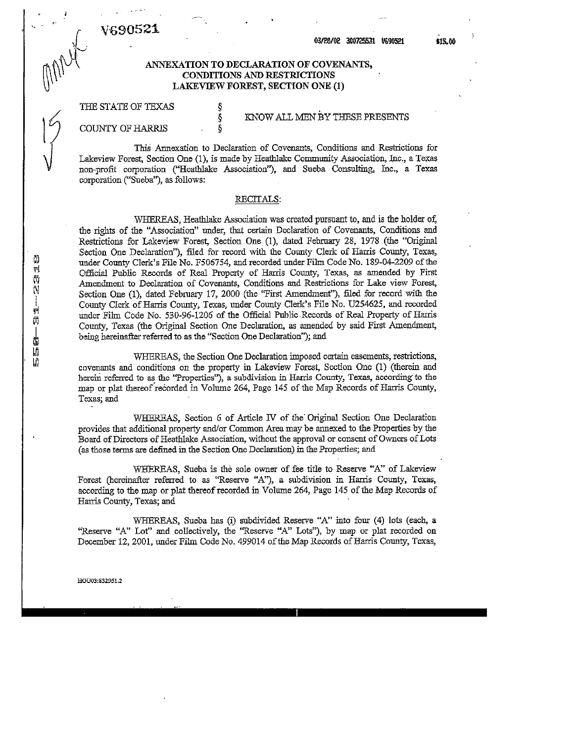V69052

r

#### <sup>1</sup> ' 03/85/02 <sup>308725531</sup> V6S05E1 «5.00

ANNEXATION TO DECLARATION OF COVENANTS, CONDITIONS AND RESTRICTIONS LAKEVIEW FOREST, SECTION ONE (1)

## THE STATE OF TEXAS  $\S$

# § KNOW ALL MEN BY THESE PRESENTS

COUNTY OF HARRIS

This Annexation to Declaration of Covenants, Conditions and Restrictions for Lakeview Forest, Section One (1), is made by Heathlake Community Association, Inc., a Texas non-profit corporation ("Heathlake Association"), and Sueba Consulting, Inc., a Texas corporation ("Sueba"), as follows: .

#### RECITALS:

WHEREAS, Heathlake Association was created pursuant to, and is the holder of, the rights of the "Association" under, that certain Declaration of Covenants, Conditions and Restrictions for Lakeview Forest, Section One (1), dated February 28, 1978 (the "Original Section One Declaration"), filed for record with the County Clerk of Harris County, Texas., under County Clerk's File No. F506754, and recorded under Film Code No. 189-04-2209 ofthe Official Public Records of Real Property of Harris County, Texas, as amended by First Amendment to Declaration of Covenants, Conditions and Restrictions for Lake view Forest, Section One (1), dated February 17, 2000 (the "First Amendment")) filed for record with the County Clerk of Harris County, Texas, under County Clerk's File No. U254625, and recorded under Film Code No. 530-96-1206 of the Official Public -Records of Real Property of Harris County, Texas (the Original Section One Declaration, as amended by said First Amendment, being hereinafter referred to as the "Section One Declaration"); and

WHEREAS, the Section One Declaration imposed certain easements, restrictions, covenants and conditions on the property in Lakeview Forest, Section One (1) (therein and herein referred to as the "Properties"), a subdivision in Harris County, Texas, according to the map or plat thereof recorded in Volume 264, Page 145 of the Map Records of Harris County, Texas; and '

WHEREAS, Section <sup>6</sup> of Article IV of the' Original Section One Declaration provides that additional property and/or Common Area may be annexed to the Properties by the Board of Directors of Heathlake Association, without the approval or consent of Owners of Lots (as those terms are defined in the Section One Declaration) in the Properties; and

WHEREAS, Sueba is the sole owner of fee title to Reserve "A" of Lakeview Forest (hereinafter referred to as "Reserve "A"), a subdivision in Harris County, Texas, according to the map or plat thereofrecorded in Volume 264, Page 145 of the Map Records of Harris County, Texas; and '

WHEREAS, Sueba has (i) subdivided Reserve "A" into four (4) lots (each, <sup>a</sup> "Reserve "A" Lot" and collectively, the "Reserve "A" Lots"), by map or plat recorded on December 12, 2001, under Film Code No. 499014 of the Map Records of Harris County, Texas,

HOU03:83295i.2

四位的 -- 四角 -- 磁曲点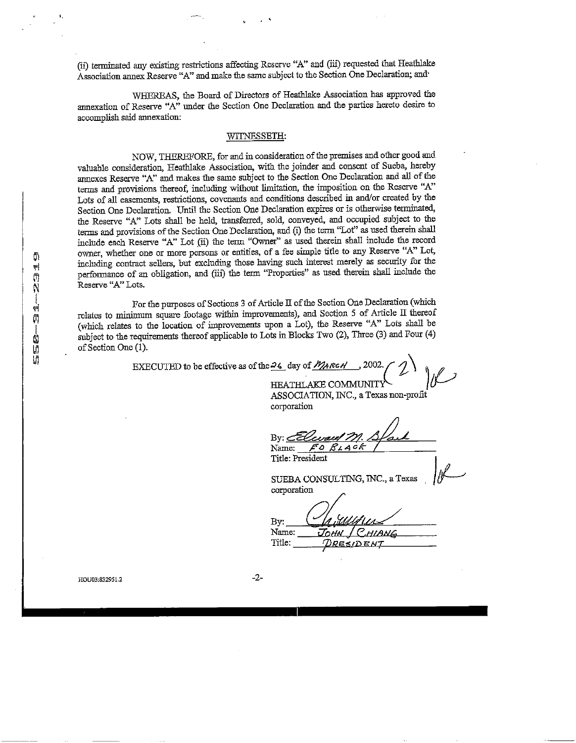(ii) terminated any existing restrictions affecting Reserve "A" and (iii) requested that Heathlake Association annex Reserve "A" and make the same subject to the Section One Declaration; and

WHEREAS, the Board of Directors of Heathlake Association has approved the annexation of Reserve "A" under the Section One Declaration and the parties hereto desire to accomplish said annexation:

#### WITNESSETH:

NOW, THEREFORE, for and in consideration of the premises and other good and valuable consideration, Heathlake Association, with the joinder and consent of Sueba, hereby annexes Reserve "A" and makes the same subject to the Section One Declaration and all ofthe terms and provisions thereof, including without limitation, the imposition on the Reserve "A" Lots of all easements, restrictions, covenants and conditions described in and/or created by the Section One Declaration. Until the Section One Declaration expires or is otherwise terminated, the Reserve "A" Lots shall be held, transferred, sold, conveyed, and occupied subject to the terms and provisions of the Section One Declaration, and (i) the term "Lot" as used therein shall include each Reserve "A" Lot (ii) die term "Owner" as used therein shall include the record owner, whether one or more persons or entities, of <sup>a</sup> fee simple title to any Reserve "A" Lot, including contract sellers, but excluding those having such interest merely as security for the perfonnance of an obligation, and (iii) the term "Properties" as used therein shall include the Reserve "A" Lots.

For the purposes of Sections 3 of Article II of the Section One Declaration (which relates to minimum square footage within improvements), and Section 5 of Article II thereof (which relates to the location of improvements upon <sup>a</sup> Lot), the Reserve "A" Lots shall be subject to the requirements thereof applicable to Lots in Blocks Two (2), Three (3) and Four (4) of Section One (1).

EXECUTED to be effective as of the  $\frac{26}{9}$  day of  $\frac{M}{M}$  RcH HEATHLAKE COMMUNITY

ASSOCIATION, INC., <sup>a</sup> Texas non-profit corporation

 $\overline{Bv}$ :  $\leq$ 

Name:  $F\circ$ Title: President

SUEBA CONSULTING, INC., <sup>a</sup> Texas corporation

Bv: Name: Тонк C.HIANG Title: **DRESIDENT** 

HOU03:832951.2 -2-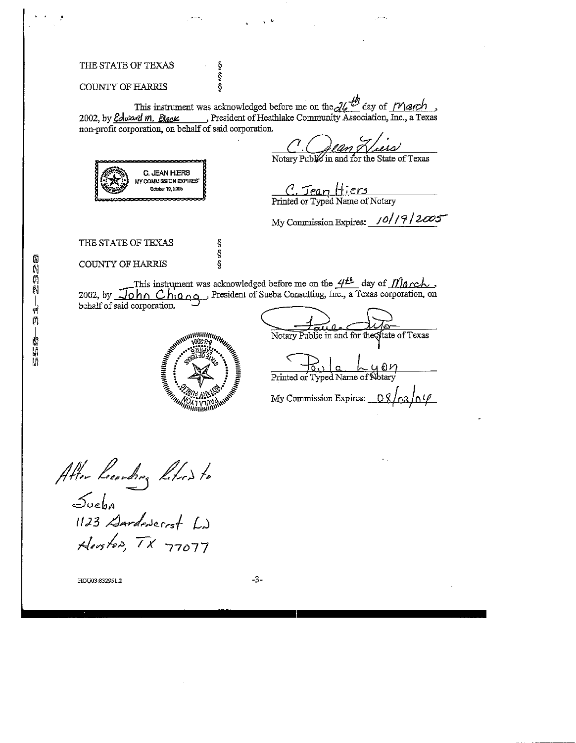### THE STATE OF TEXAS

#### COUNTY OF HARRIS

This instrument was acknowledged before me on the  $\mathcal{U}^{\mathcal{D}}$  day of  $\mathcal{M}$  and  $\mathcal{U}$ 2002, by *Edward m. Black* President of Heathlake Community Association, Inc., a Texas non-profit corporation, on behalf of said corporation.

ş Ş<br>Ş

Ş ş ş

Notary Public in and for the State of Texas



C. Jean I Printed or Typed Name of Notary

My Commission Expires: /0// ? / 2005

THE STATE OF TEXAS

COUNTY OF HARRIS

This instrument was acknowledged before me on the  $4<sup>th</sup>$  day of  $M\acute{a}$  rch, 2002, by  $\overline{\text{John Chig}}$  ChiQ $\overline{\text{Og}}$ , President of Sueba Consulting, Inc., a Texas corporation, on behalf of said corporation.



 $\frac{1}{\epsilon}$  and  $\frac{1}{\epsilon}$ Notary Public in and for the State of Texas France Company Public in and for the Printed or Typed Name of Notary My Commission Expires:

Atter Lecording Litros to (123 Houston, TX 77077

HOU03:832950 -3-